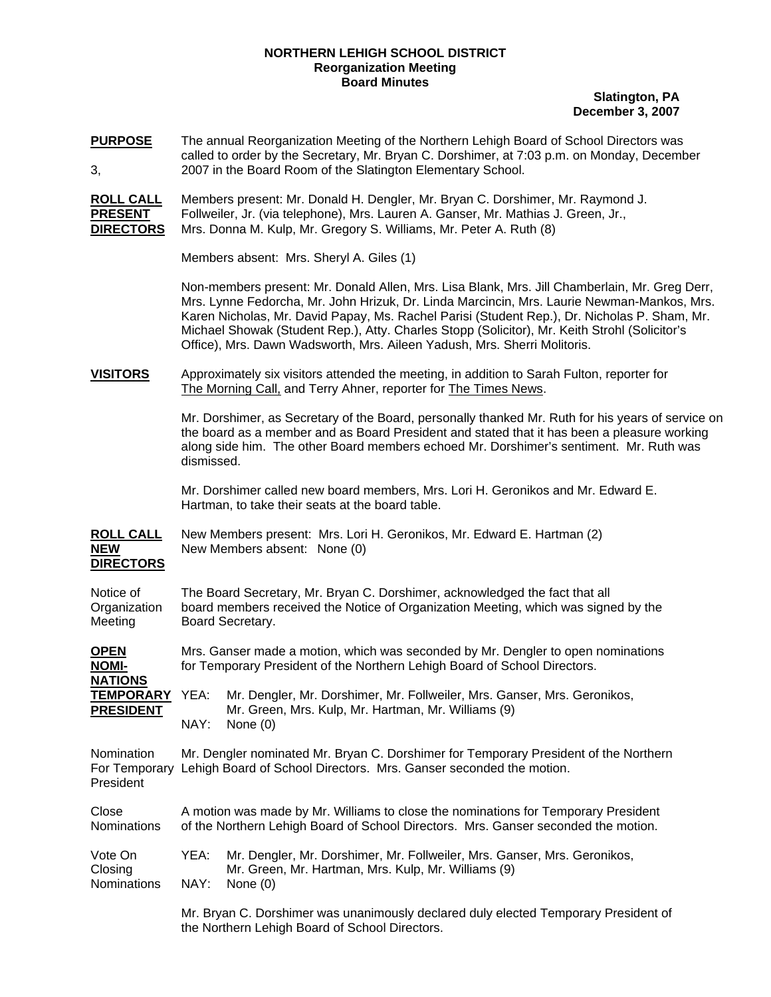## **NORTHERN LEHIGH SCHOOL DISTRICT Reorganization Meeting Board Minutes**

**Slatington, PA December 3, 2007**

**PURPOSE** The annual Reorganization Meeting of the Northern Lehigh Board of School Directors was called to order by the Secretary, Mr. Bryan C. Dorshimer, at 7:03 p.m. on Monday, December 3, 2007 in the Board Room of the Slatington Elementary School.

**ROLL CALL** Members present: Mr. Donald H. Dengler, Mr. Bryan C. Dorshimer, Mr. Raymond J. **PRESENT** Follweiler, Jr. (via telephone), Mrs. Lauren A. Ganser, Mr. Mathias J. Green, Jr., **DIRECTORS** Mrs. Donna M. Kulp, Mr. Gregory S. Williams, Mr. Peter A. Ruth (8)

Members absent: Mrs. Sheryl A. Giles (1)

Non-members present: Mr. Donald Allen, Mrs. Lisa Blank, Mrs. Jill Chamberlain, Mr. Greg Derr, Mrs. Lynne Fedorcha, Mr. John Hrizuk, Dr. Linda Marcincin, Mrs. Laurie Newman-Mankos, Mrs. Karen Nicholas, Mr. David Papay, Ms. Rachel Parisi (Student Rep.), Dr. Nicholas P. Sham, Mr. Michael Showak (Student Rep.), Atty. Charles Stopp (Solicitor), Mr. Keith Strohl (Solicitor's Office), Mrs. Dawn Wadsworth, Mrs. Aileen Yadush, Mrs. Sherri Molitoris.

**VISITORS** Approximately six visitors attended the meeting, in addition to Sarah Fulton, reporter for The Morning Call, and Terry Ahner, reporter for The Times News.

> Mr. Dorshimer, as Secretary of the Board, personally thanked Mr. Ruth for his years of service on the board as a member and as Board President and stated that it has been a pleasure working along side him. The other Board members echoed Mr. Dorshimer's sentiment. Mr. Ruth was dismissed.

 Mr. Dorshimer called new board members, Mrs. Lori H. Geronikos and Mr. Edward E. Hartman, to take their seats at the board table.

**ROLL CALL** New Members present: Mrs. Lori H. Geronikos, Mr. Edward E. Hartman (2) **NEW** New Members absent: None (0) **DIRECTORS**

| Notice of    | The Board Secretary, Mr. Bryan C. Dorshimer, acknowledged the fact that all        |
|--------------|------------------------------------------------------------------------------------|
| Organization | board members received the Notice of Organization Meeting, which was signed by the |
| Meeting      | Board Secretary.                                                                   |

**OPEN** Mrs. Ganser made a motion, which was seconded by Mr. Dengler to open nominations **NOMI-** for Temporary President of the Northern Lehigh Board of School Directors. **NATIONS**

**TEMPORARY** YEA: Mr. Dengler, Mr. Dorshimer, Mr. Follweiler, Mrs. Ganser, Mrs. Geronikos, **PRESIDENT** Mr. Green, Mrs. Kulp, Mr. Hartman, Mr. Williams (9) NAY: None (0)

Nomination Mr. Dengler nominated Mr. Bryan C. Dorshimer for Temporary President of the Northern For Temporary Lehigh Board of School Directors. Mrs. Ganser seconded the motion. President

Close A motion was made by Mr. Williams to close the nominations for Temporary President Nominations of the Northern Lehigh Board of School Directors. Mrs. Ganser seconded the motion.

| Vote On     | YEA: Mr. Dengler, Mr. Dorshimer, Mr. Follweiler, Mrs. Ganser, Mrs. Geronikos, |
|-------------|-------------------------------------------------------------------------------|
| Closing     | Mr. Green, Mr. Hartman, Mrs. Kulp, Mr. Williams (9)                           |
| Nominations | NAY: None (0)                                                                 |

Mr. Bryan C. Dorshimer was unanimously declared duly elected Temporary President of the Northern Lehigh Board of School Directors.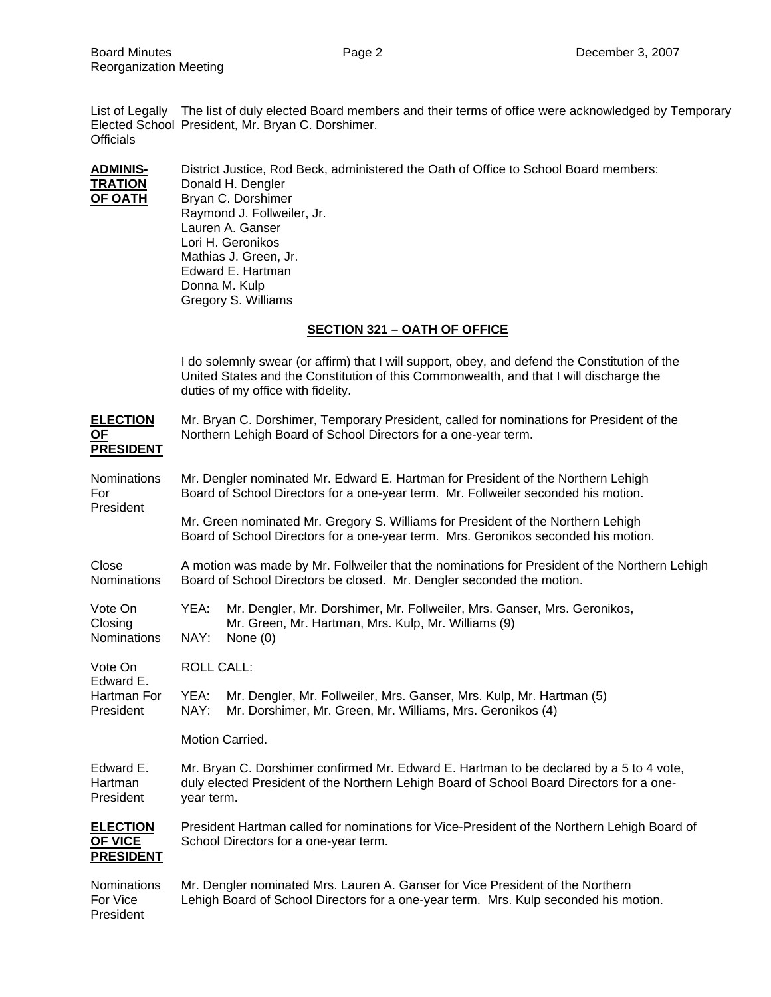List of Legally The list of duly elected Board members and their terms of office were acknowledged by Temporary Elected School President, Mr. Bryan C. Dorshimer. **Officials** 

**ADMINIS-** District Justice, Rod Beck, administered the Oath of Office to School Board members: **TRATION** Donald H. Dengler<br>**OF OATH** Bryan C. Dorshime **Bryan C. Dorshimer**  Raymond J. Follweiler, Jr. Lauren A. Ganser Lori H. Geronikos Mathias J. Green, Jr. Edward E. Hartman Donna M. Kulp Gregory S. Williams

## **SECTION 321 – OATH OF OFFICE**

I do solemnly swear (or affirm) that I will support, obey, and defend the Constitution of the United States and the Constitution of this Commonwealth, and that I will discharge the duties of my office with fidelity.

| <b>ELECTION</b><br><b>OF</b><br><b>PRESIDENT</b>      | Mr. Bryan C. Dorshimer, Temporary President, called for nominations for President of the<br>Northern Lehigh Board of School Directors for a one-year term.                                        |  |  |
|-------------------------------------------------------|---------------------------------------------------------------------------------------------------------------------------------------------------------------------------------------------------|--|--|
| <b>Nominations</b><br>For<br>President                | Mr. Dengler nominated Mr. Edward E. Hartman for President of the Northern Lehigh<br>Board of School Directors for a one-year term. Mr. Follweiler seconded his motion.                            |  |  |
|                                                       | Mr. Green nominated Mr. Gregory S. Williams for President of the Northern Lehigh<br>Board of School Directors for a one-year term. Mrs. Geronikos seconded his motion.                            |  |  |
| Close<br><b>Nominations</b>                           | A motion was made by Mr. Follweiler that the nominations for President of the Northern Lehigh<br>Board of School Directors be closed. Mr. Dengler seconded the motion.                            |  |  |
| Vote On<br>Closing<br><b>Nominations</b>              | YEA:<br>Mr. Dengler, Mr. Dorshimer, Mr. Follweiler, Mrs. Ganser, Mrs. Geronikos,<br>Mr. Green, Mr. Hartman, Mrs. Kulp, Mr. Williams (9)<br>NAY:<br>None $(0)$                                     |  |  |
| Vote On<br>Edward E.<br>Hartman For<br>President      | <b>ROLL CALL:</b>                                                                                                                                                                                 |  |  |
|                                                       | Mr. Dengler, Mr. Follweiler, Mrs. Ganser, Mrs. Kulp, Mr. Hartman (5)<br>YEA:<br>NAY:<br>Mr. Dorshimer, Mr. Green, Mr. Williams, Mrs. Geronikos (4)                                                |  |  |
|                                                       | Motion Carried.                                                                                                                                                                                   |  |  |
| Edward E.<br>Hartman<br>President                     | Mr. Bryan C. Dorshimer confirmed Mr. Edward E. Hartman to be declared by a 5 to 4 vote,<br>duly elected President of the Northern Lehigh Board of School Board Directors for a one-<br>year term. |  |  |
| <b>ELECTION</b><br><b>OF VICE</b><br><b>PRESIDENT</b> | President Hartman called for nominations for Vice-President of the Northern Lehigh Board of<br>School Directors for a one-year term.                                                              |  |  |
| Nominations<br>For Vice<br>President                  | Mr. Dengler nominated Mrs. Lauren A. Ganser for Vice President of the Northern<br>Lehigh Board of School Directors for a one-year term. Mrs. Kulp seconded his motion.                            |  |  |